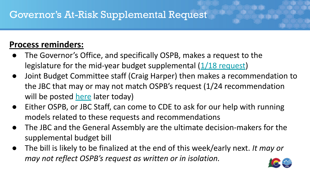#### **Process reminders:**

- The Governor's Office, and specifically OSPB, makes a request to the legislature for the mid-year budget supplemental  $(1/18$  request)
- Joint Budget Committee staff (Craig Harper) then makes a recommendation to the JBC that may or may not match OSPB's request (1/24 recommendation will be posted [here](https://leg.colorado.gov/content/budget) later today)
- Either OSPB, or JBC Staff, can come to CDE to ask for our help with running models related to these requests and recommendations
- The JBC and the General Assembly are the ultimate decision-makers for the supplemental budget bill
- The bill is likely to be finalized at the end of this week/early next. *It may or may not reflect OSPB's request as written or in isolation.*

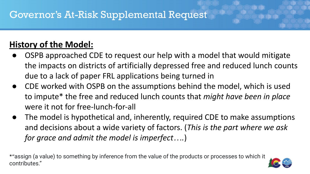### **History of the Model:**

- OSPB approached CDE to request our help with a model that would mitigate the impacts on districts of artificially depressed free and reduced lunch counts due to a lack of paper FRL applications being turned in
- CDE worked with OSPB on the assumptions behind the model, which is used to impute\* the free and reduced lunch counts that *might have been in place*  were it not for free-lunch-for-all
- The model is hypothetical and, inherently, required CDE to make assumptions and decisions about a wide variety of factors. (*This is the part where we ask for grace and admit the model is imperfect….*)

\*"assign (a value) to something by inference from the value of the products or processes to which it contributes."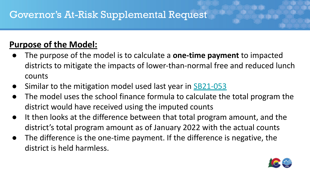### **Purpose of the Model:**

- The purpose of the model is to calculate a **one-time payment** to impacted districts to mitigate the impacts of lower-than-normal free and reduced lunch counts
- Similar to the mitigation model used last year in [SB21-053](https://leg.colorado.gov/bills/sb21-053)
- The model uses the school finance formula to calculate the total program the district would have received using the imputed counts
- It then looks at the difference between that total program amount, and the district's total program amount as of January 2022 with the actual counts
- The difference is the one-time payment. If the difference is negative, the district is held harmless.

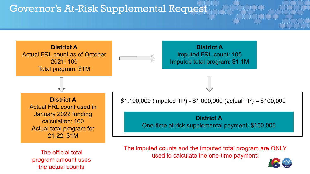

program amount uses the actual counts

The imputed counts and the imputed total program are ONLY The official total<br>used to calculate the one-time payment!

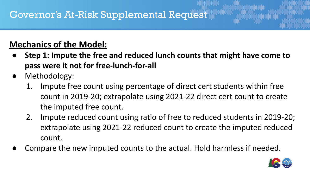#### **Mechanics of the Model:**

- **● Step 1: Impute the free and reduced lunch counts that might have come to pass were it not for free-lunch-for-all**
- Methodology:
	- 1. Impute free count using percentage of direct cert students within free count in 2019-20; extrapolate using 2021-22 direct cert count to create the imputed free count.
	- 2. Impute reduced count using ratio of free to reduced students in 2019-20; extrapolate using 2021-22 reduced count to create the imputed reduced count.
- Compare the new imputed counts to the actual. Hold harmless if needed.

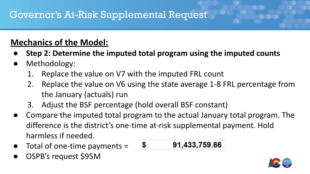#### **Mechanics of the Model:**

- **● Step 2: Determine the imputed total program using the imputed counts**
- Methodology:
	- 1. Replace the value on V7 with the imputed FRL count
	- 2. Replace the value on V6 using the state average 1-8 FRL percentage from the January (actuals) run
	- 3. Adjust the BSF percentage (hold overall BSF constant)
- Compare the imputed total program to the actual January total program. The difference is the district's one-time at-risk supplemental payment. Hold harmless if needed.
- Total of one-time payments =  $\frac{1}{3}$
- OSPB's request \$95M

$$
91,433,759.66
$$

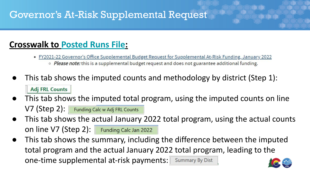#### **Crosswalk to [Posted Runs File:](https://www.cde.state.co.us/cdefinance/fiscal_year_2021-22_school_finance_funding)**

- FY2021-22 Governor's Office Supplemental Budget Request for Supplemental At-Risk Funding, January 2022
	- Please note: this is a supplemental budget request and does not guarantee additional funding.
- This tab shows the imputed counts and methodology by district (Step 1): **Adj FRL Counts**
- This tab shows the imputed total program, using the imputed counts on line V7 (Step 2): Funding Calc w Adj FRL Counts
- This tab shows the actual January 2022 total program, using the actual counts on line V7 (Step 2): Funding Calc Jan 2022
- This tab shows the summary, including the difference between the imputed total program and the actual January 2022 total program, leading to the one-time supplemental at-risk payments: | Summary By Dist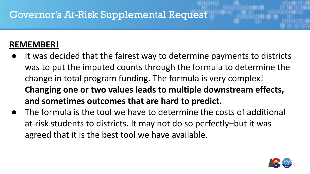#### **REMEMBER!**

- It was decided that the fairest way to determine payments to districts was to put the imputed counts through the formula to determine the change in total program funding. The formula is very complex! **Changing one or two values leads to multiple downstream effects, and sometimes outcomes that are hard to predict.**
- The formula is the tool we have to determine the costs of additional at-risk students to districts. It may not do so perfectly–but it was agreed that it is the best tool we have available.

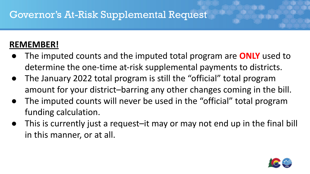#### **REMEMBER!**

- The imputed counts and the imputed total program are **ONLY** used to determine the one-time at-risk supplemental payments to districts.
- The January 2022 total program is still the "official" total program amount for your district–barring any other changes coming in the bill.
- The imputed counts will never be used in the "official" total program funding calculation.
- This is currently just a request–it may or may not end up in the final bill in this manner, or at all.